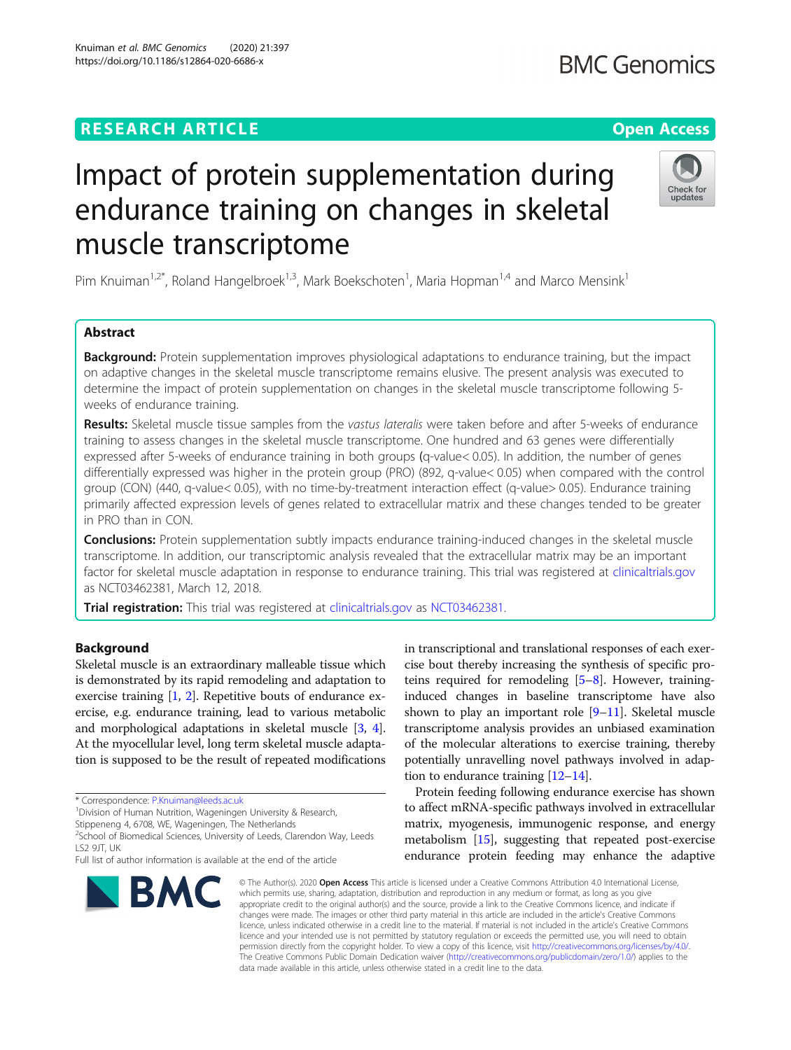# **RESEARCH ARTICLE Example 2014 12:30 The Contract of Contract ACCESS**

# Impact of protein supplementation during endurance training on changes in skeletal muscle transcriptome

Pim Knuiman<sup>1,2\*</sup>, Roland Hangelbroek<sup>1,3</sup>, Mark Boekschoten<sup>1</sup>, Maria Hopman<sup>1,4</sup> and Marco Mensink<sup>1</sup>

# Abstract

**Background:** Protein supplementation improves physiological adaptations to endurance training, but the impact on adaptive changes in the skeletal muscle transcriptome remains elusive. The present analysis was executed to determine the impact of protein supplementation on changes in the skeletal muscle transcriptome following 5 weeks of endurance training.

Results: Skeletal muscle tissue samples from the vastus lateralis were taken before and after 5-weeks of endurance training to assess changes in the skeletal muscle transcriptome. One hundred and 63 genes were differentially expressed after 5-weeks of endurance training in both groups (q-value< 0.05). In addition, the number of genes differentially expressed was higher in the protein group (PRO) (892, q-value< 0.05) when compared with the control group (CON) (440, q-value< 0.05), with no time-by-treatment interaction effect (q-value> 0.05). Endurance training primarily affected expression levels of genes related to extracellular matrix and these changes tended to be greater in PRO than in CON.

**Conclusions:** Protein supplementation subtly impacts endurance training-induced changes in the skeletal muscle transcriptome. In addition, our transcriptomic analysis revealed that the extracellular matrix may be an important factor for skeletal muscle adaptation in response to endurance training. This trial was registered at [clinicaltrials.gov](http://clinicaltrials.gov) as NCT03462381, March 12, 2018.

Trial registration: This trial was registered at [clinicaltrials.gov](http://clinicaltrials.gov) as [NCT03462381.](https://clinicaltrials.gov/ct2/show/NCT03462381?cond=endurance+training+and+protein+supplementation&draw=2&rank=1)

# Background

Skeletal muscle is an extraordinary malleable tissue which is demonstrated by its rapid remodeling and adaptation to exercise training [\[1](#page-8-0), [2\]](#page-8-0). Repetitive bouts of endurance exercise, e.g. endurance training, lead to various metabolic and morphological adaptations in skeletal muscle [\[3](#page-8-0), [4](#page-8-0)]. At the myocellular level, long term skeletal muscle adaptation is supposed to be the result of repeated modifications

\* Correspondence: [P.Knuiman@leeds.ac.uk](mailto:P.Knuiman@leeds.ac.uk) <sup>1</sup>

<sup>1</sup> Division of Human Nutrition, Wageningen University & Research,

Stippeneng 4, 6708, WE, Wageningen, The Netherlands

<sup>2</sup>School of Biomedical Sciences, University of Leeds, Clarendon Way, Leeds LS2 9JT, UK

in transcriptional and translational responses of each exercise bout thereby increasing the synthesis of specific proteins required for remodeling [[5](#page-8-0)–[8](#page-8-0)]. However, traininginduced changes in baseline transcriptome have also shown to play an important role  $[9-11]$  $[9-11]$  $[9-11]$  $[9-11]$ . Skeletal muscle transcriptome analysis provides an unbiased examination of the molecular alterations to exercise training, thereby potentially unravelling novel pathways involved in adaption to endurance training [\[12](#page-8-0)–[14\]](#page-8-0).

Protein feeding following endurance exercise has shown to affect mRNA-specific pathways involved in extracellular matrix, myogenesis, immunogenic response, and energy metabolism [\[15](#page-8-0)], suggesting that repeated post-exercise endurance protein feeding may enhance the adaptive

© The Author(s), 2020 **Open Access** This article is licensed under a Creative Commons Attribution 4.0 International License, which permits use, sharing, adaptation, distribution and reproduction in any medium or format, as long as you give appropriate credit to the original author(s) and the source, provide a link to the Creative Commons licence, and indicate if changes were made. The images or other third party material in this article are included in the article's Creative Commons licence, unless indicated otherwise in a credit line to the material. If material is not included in the article's Creative Commons licence and your intended use is not permitted by statutory regulation or exceeds the permitted use, you will need to obtain permission directly from the copyright holder. To view a copy of this licence, visit [http://creativecommons.org/licenses/by/4.0/.](http://creativecommons.org/licenses/by/4.0/) The Creative Commons Public Domain Dedication waiver [\(http://creativecommons.org/publicdomain/zero/1.0/](http://creativecommons.org/publicdomain/zero/1.0/)) applies to the data made available in this article, unless otherwise stated in a credit line to the data.









Full list of author information is available at the end of the article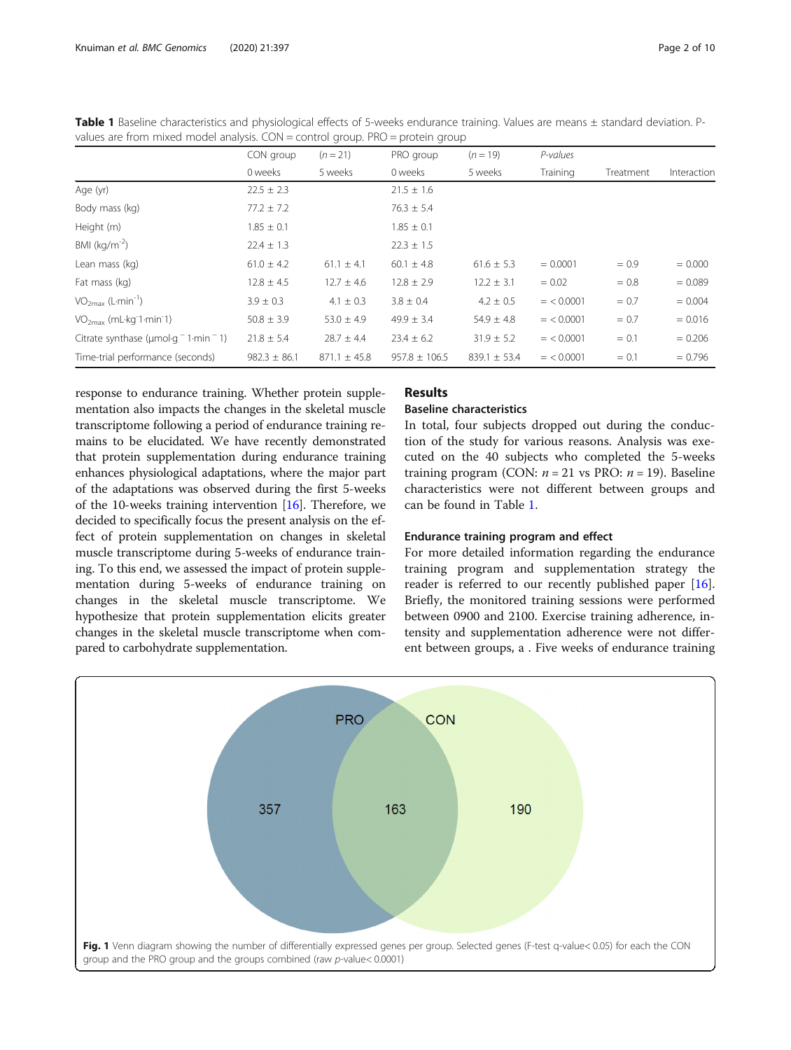| values are from mixed model analysis. CON = control group. PRO = protein group |                  |                  |                   |                  |              |           |             |
|--------------------------------------------------------------------------------|------------------|------------------|-------------------|------------------|--------------|-----------|-------------|
|                                                                                | CON group        | $(n = 21)$       | PRO group         | $(n = 19)$       | P-values     |           |             |
|                                                                                | 0 weeks          | 5 weeks          | 0 weeks           | 5 weeks          | Training     | Treatment | Interaction |
| Age (yr)                                                                       | $22.5 \pm 2.3$   |                  | $21.5 \pm 1.6$    |                  |              |           |             |
| Body mass (kg)                                                                 | $77.2 \pm 7.2$   |                  | $76.3 \pm 5.4$    |                  |              |           |             |
| Height (m)                                                                     | $1.85 \pm 0.1$   |                  | $1.85 \pm 0.1$    |                  |              |           |             |
| BMI (kg/m <sup>-2</sup> )                                                      | $22.4 \pm 1.3$   |                  | $22.3 \pm 1.5$    |                  |              |           |             |
| Lean mass (kg)                                                                 | $61.0 \pm 4.2$   | $61.1 \pm 4.1$   | $60.1 \pm 4.8$    | $61.6 \pm 5.3$   | $= 0.0001$   | $= 0.9$   | $= 0.000$   |
| Fat mass (kg)                                                                  | $12.8 \pm 4.5$   | $12.7 \pm 4.6$   | $12.8 \pm 2.9$    | $12.2 \pm 3.1$   | $= 0.02$     | $= 0.8$   | $= 0.089$   |
| VO <sub>2max</sub> (L·min <sup>-1</sup> )                                      | $3.9 \pm 0.3$    | $4.1 \pm 0.3$    | $3.8 \pm 0.4$     | $4.2 \pm 0.5$    | $=$ < 0.0001 | $= 0.7$   | $= 0.004$   |
| $VO2max$ (mL·kg <sup>-1</sup> ·min <sup>-1</sup> )                             | $50.8 \pm 3.9$   | $53.0 \pm 4.9$   | $49.9 \pm 3.4$    | $54.9 \pm 4.8$   | $=$ < 0.0001 | $= 0.7$   | $= 0.016$   |
| Citrate synthase ( $\mu$ mol·g <sup>-</sup> 1·min <sup>-</sup> 1)              | $21.8 \pm 5.4$   | $28.7 \pm 4.4$   | $23.4 \pm 6.2$    | $31.9 \pm 5.2$   | $=$ < 0.0001 | $= 0.1$   | $= 0.206$   |
| Time-trial performance (seconds)                                               | $982.3 \pm 86.1$ | $871.1 \pm 45.8$ | $957.8 \pm 106.5$ | $839.1 \pm 53.4$ | $=$ < 0.0001 | $= 0.1$   | $= 0.796$   |

<span id="page-1-0"></span>Table 1 Baseline characteristics and physiological effects of 5-weeks endurance training. Values are means ± standard deviation. Pvalues are from mixed model analysis. CON = control group. PRO = protein group

response to endurance training. Whether protein supplementation also impacts the changes in the skeletal muscle transcriptome following a period of endurance training remains to be elucidated. We have recently demonstrated that protein supplementation during endurance training enhances physiological adaptations, where the major part of the adaptations was observed during the first 5-weeks of the 10-weeks training intervention [[16](#page-8-0)]. Therefore, we decided to specifically focus the present analysis on the effect of protein supplementation on changes in skeletal muscle transcriptome during 5-weeks of endurance training. To this end, we assessed the impact of protein supplementation during 5-weeks of endurance training on changes in the skeletal muscle transcriptome. We hypothesize that protein supplementation elicits greater changes in the skeletal muscle transcriptome when compared to carbohydrate supplementation.

# Results

# Baseline characteristics

In total, four subjects dropped out during the conduction of the study for various reasons. Analysis was executed on the 40 subjects who completed the 5-weeks training program (CON:  $n = 21$  vs PRO:  $n = 19$ ). Baseline characteristics were not different between groups and can be found in Table 1.

# Endurance training program and effect

For more detailed information regarding the endurance training program and supplementation strategy the reader is referred to our recently published paper [\[16](#page-8-0)]. Briefly, the monitored training sessions were performed between 0900 and 2100. Exercise training adherence, intensity and supplementation adherence were not different between groups, a . Five weeks of endurance training

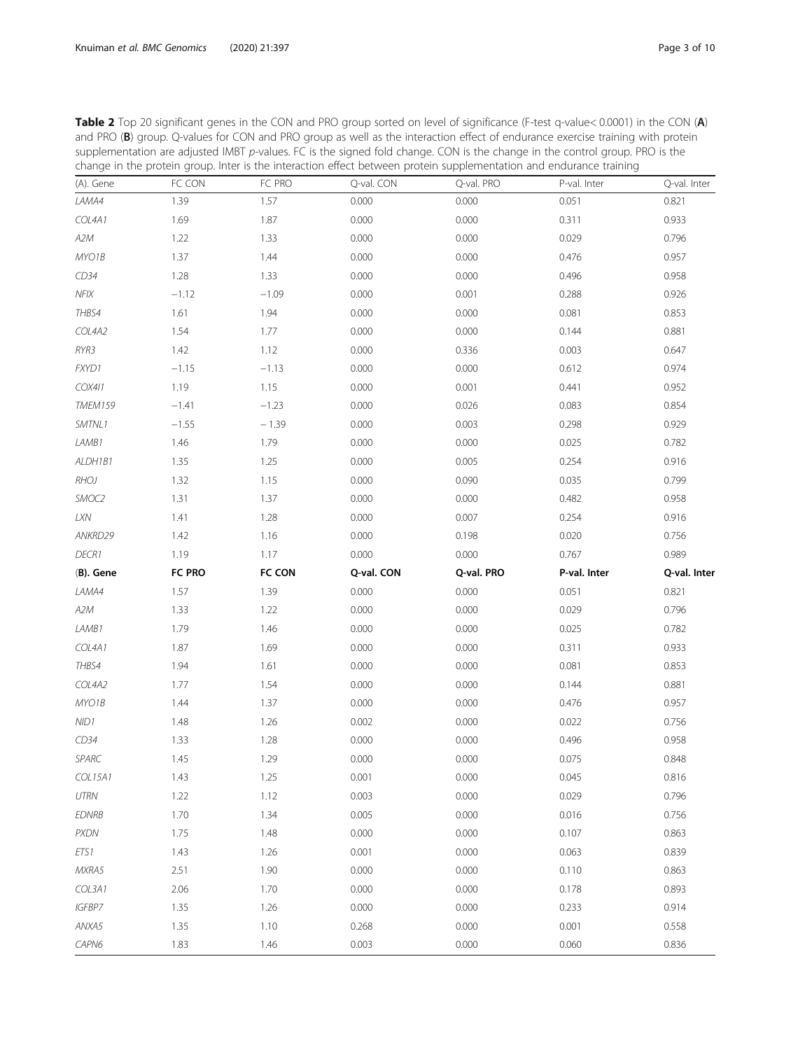| change in the protein group. Inter is the interaction effect between protein supplementation and endurance training |         |               |            |            |              |              |
|---------------------------------------------------------------------------------------------------------------------|---------|---------------|------------|------------|--------------|--------------|
| (A). Gene                                                                                                           | FC CON  | FC PRO        | Q-val. CON | Q-val. PRO | P-val. Inter | Q-val. Inter |
| LAMA4                                                                                                               | 1.39    | 1.57          | 0.000      | 0.000      | 0.051        | 0.821        |
| COL4A1                                                                                                              | 1.69    | 1.87          | 0.000      | 0.000      | 0.311        | 0.933        |
| A2M                                                                                                                 | 1.22    | 1.33          | 0.000      | 0.000      | 0.029        | 0.796        |
| MYO1B                                                                                                               | 1.37    | 1.44          | 0.000      | 0.000      | 0.476        | 0.957        |
| CD34                                                                                                                | 1.28    | 1.33          | 0.000      | 0.000      | 0.496        | 0.958        |
| $NF$ IX                                                                                                             | $-1.12$ | $-1.09$       | 0.000      | 0.001      | 0.288        | 0.926        |
| THBS4                                                                                                               | 1.61    | 1.94          | 0.000      | 0.000      | 0.081        | 0.853        |
| COL4A2                                                                                                              | 1.54    | 1.77          | 0.000      | 0.000      | 0.144        | 0.881        |
| RYR3                                                                                                                | 1.42    | 1.12          | 0.000      | 0.336      | 0.003        | 0.647        |
| FXYD1                                                                                                               | $-1.15$ | $-1.13$       | 0.000      | 0.000      | 0.612        | 0.974        |
| COX411                                                                                                              | 1.19    | 1.15          | 0.000      | 0.001      | 0.441        | 0.952        |
| TMEM159                                                                                                             | $-1.41$ | $-1.23$       | 0.000      | 0.026      | 0.083        | 0.854        |
| SMTNL1                                                                                                              | $-1.55$ | $-1.39$       | 0.000      | 0.003      | 0.298        | 0.929        |
| LAMB1                                                                                                               | 1.46    | 1.79          | 0.000      | 0.000      | 0.025        | 0.782        |
| ALDH1B1                                                                                                             | 1.35    | 1.25          | 0.000      | 0.005      | 0.254        | 0.916        |
| <b>RHOJ</b>                                                                                                         | 1.32    | 1.15          | 0.000      | 0.090      | 0.035        | 0.799        |
| SMOC2                                                                                                               | 1.31    | 1.37          | 0.000      | 0.000      | 0.482        | 0.958        |
| $L{\rm XN}$                                                                                                         | 1.41    | 1.28          | 0.000      | 0.007      | 0.254        | 0.916        |
| ANKRD29                                                                                                             | 1.42    | 1.16          | 0.000      | 0.198      | 0.020        | 0.756        |
| DECR1                                                                                                               | 1.19    | 1.17          | 0.000      | 0.000      | 0.767        | 0.989        |
| (B). Gene                                                                                                           | FC PRO  | <b>FC CON</b> | Q-val. CON | Q-val. PRO | P-val. Inter | Q-val. Inter |
| LAMA4                                                                                                               | 1.57    | 1.39          | 0.000      | 0.000      | 0.051        | 0.821        |
| A2M                                                                                                                 | 1.33    | 1.22          | 0.000      | 0.000      | 0.029        | 0.796        |
| LAMB1                                                                                                               | 1.79    | 1.46          | 0.000      | 0.000      | 0.025        | 0.782        |
| COL4A1                                                                                                              | 1.87    | 1.69          | 0.000      | 0.000      | 0.311        | 0.933        |
| THBS4                                                                                                               | 1.94    | 1.61          | 0.000      | 0.000      | 0.081        | 0.853        |
| COL4A2                                                                                                              | 1.77    | 1.54          | 0.000      | 0.000      | 0.144        | 0.881        |
| MYO1B                                                                                                               | 1.44    | 1.37          | 0.000      | 0.000      | 0.476        | 0.957        |
| NID1                                                                                                                | 1.48    | 1.26          | 0.002      | 0.000      | 0.022        | 0.756        |
| CD34                                                                                                                | 1.33    | 1.28          | 0.000      | 0.000      | 0.496        | 0.958        |
| SPARC                                                                                                               | 1.45    | 1.29          | 0.000      | 0.000      | 0.075        | 0.848        |
| COL15A1                                                                                                             | 1.43    | 1.25          | 0.001      | 0.000      | 0.045        | 0.816        |
| UTRN                                                                                                                | 1.22    | 1.12          | 0.003      | 0.000      | 0.029        | 0.796        |
| <b>EDNRB</b>                                                                                                        | 1.70    | 1.34          | 0.005      | 0.000      | 0.016        | 0.756        |
| <b>PXDN</b>                                                                                                         | 1.75    | 1.48          | 0.000      | 0.000      | 0.107        | 0.863        |
| ETS1                                                                                                                | 1.43    | 1.26          | 0.001      | 0.000      | 0.063        | 0.839        |
| MXRA5                                                                                                               | 2.51    | 1.90          | 0.000      | 0.000      | 0.110        | 0.863        |
| COL3A1                                                                                                              | 2.06    | 1.70          | 0.000      | 0.000      | 0.178        | 0.893        |
| IGFBP7                                                                                                              | 1.35    | 1.26          | 0.000      | 0.000      | 0.233        | 0.914        |
| ANXA5                                                                                                               | 1.35    | 1.10          | 0.268      | 0.000      | 0.001        | 0.558        |
| CAPN6                                                                                                               | 1.83    | 1.46          | 0.003      | 0.000      | 0.060        | 0.836        |

<span id="page-2-0"></span>Table 2 Top 20 significant genes in the CON and PRO group sorted on level of significance (F-test q-value< 0.0001) in the CON (A) and PRO (B) group. Q-values for CON and PRO group as well as the interaction effect of endurance exercise training with protein supplementation are adjusted IMBT p-values. FC is the signed fold change. CON is the change in the control group. PRO is the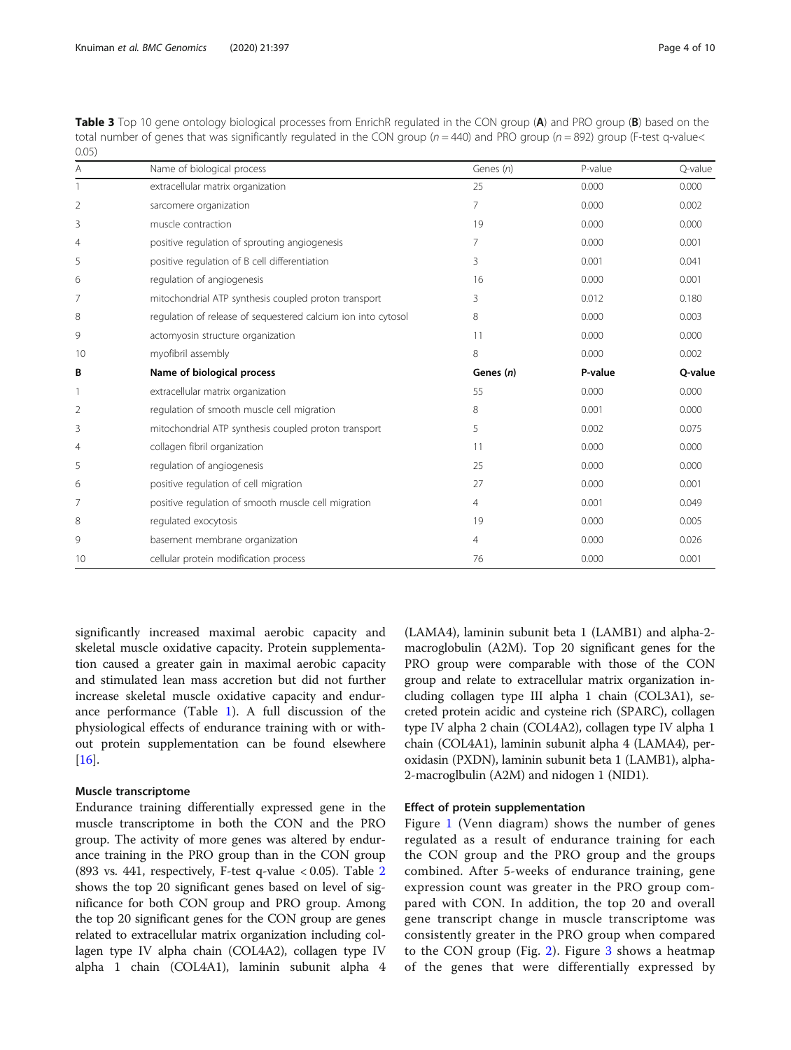| v.v <i>.</i>   |                                                               |                |         |         |
|----------------|---------------------------------------------------------------|----------------|---------|---------|
| Α              | Name of biological process                                    | Genes (n)      | P-value | Q-value |
|                | extracellular matrix organization                             | 25             | 0.000   | 0.000   |
| $\overline{2}$ | sarcomere organization                                        | 7              | 0.000   | 0.002   |
| 3              | muscle contraction                                            | 19             | 0.000   | 0.000   |
| 4              | positive regulation of sprouting angiogenesis                 | 7              | 0.000   | 0.001   |
| 5              | positive regulation of B cell differentiation                 | 3              | 0.001   | 0.041   |
| 6              | regulation of angiogenesis                                    | 16             | 0.000   | 0.001   |
| 7              | mitochondrial ATP synthesis coupled proton transport          | 3              | 0.012   | 0.180   |
| 8              | regulation of release of sequestered calcium ion into cytosol | 8              | 0.000   | 0.003   |
| 9              | actomyosin structure organization                             | 11             | 0.000   | 0.000   |
| 10             | myofibril assembly                                            | 8              | 0.000   | 0.002   |
| В              | Name of biological process                                    | Genes (n)      | P-value | Q-value |
|                | extracellular matrix organization                             | 55             | 0.000   | 0.000   |
| $\overline{2}$ | regulation of smooth muscle cell migration                    | 8              | 0.001   | 0.000   |
| 3              | mitochondrial ATP synthesis coupled proton transport          | 5              | 0.002   | 0.075   |
| 4              | collagen fibril organization                                  | 11             | 0.000   | 0.000   |
| 5              | regulation of angiogenesis                                    | 25             | 0.000   | 0.000   |
| 6              | positive regulation of cell migration                         | 27             | 0.000   | 0.001   |
| 7              | positive regulation of smooth muscle cell migration           | $\overline{4}$ | 0.001   | 0.049   |
| 8              | regulated exocytosis                                          | 19             | 0.000   | 0.005   |
| 9              | basement membrane organization                                | 4              | 0.000   | 0.026   |
| 10             | cellular protein modification process                         | 76             | 0.000   | 0.001   |
|                |                                                               |                |         |         |

<span id="page-3-0"></span>Table 3 Top 10 gene ontology biological processes from EnrichR regulated in the CON group (A) and PRO group (B) based on the total number of genes that was significantly regulated in the CON group ( $n = 440$ ) and PRO group ( $n = 892$ ) group (F-test q-value<  $0.05$ 

significantly increased maximal aerobic capacity and skeletal muscle oxidative capacity. Protein supplementation caused a greater gain in maximal aerobic capacity and stimulated lean mass accretion but did not further increase skeletal muscle oxidative capacity and endurance performance (Table [1\)](#page-1-0). A full discussion of the physiological effects of endurance training with or without protein supplementation can be found elsewhere [[16\]](#page-8-0).

## Muscle transcriptome

Endurance training differentially expressed gene in the muscle transcriptome in both the CON and the PRO group. The activity of more genes was altered by endurance training in the PRO group than in the CON group (893 vs. 441, respectively, F-test q-value  $< 0.05$ ). Table [2](#page-2-0) shows the top 20 significant genes based on level of significance for both CON group and PRO group. Among the top 20 significant genes for the CON group are genes related to extracellular matrix organization including collagen type IV alpha chain (COL4A2), collagen type IV alpha 1 chain (COL4A1), laminin subunit alpha 4

(LAMA4), laminin subunit beta 1 (LAMB1) and alpha-2 macroglobulin (A2M). Top 20 significant genes for the PRO group were comparable with those of the CON group and relate to extracellular matrix organization including collagen type III alpha 1 chain (COL3A1), secreted protein acidic and cysteine rich (SPARC), collagen type IV alpha 2 chain (COL4A2), collagen type IV alpha 1 chain (COL4A1), laminin subunit alpha 4 (LAMA4), peroxidasin (PXDN), laminin subunit beta 1 (LAMB1), alpha-2-macroglbulin (A2M) and nidogen 1 (NID1).

#### Effect of protein supplementation

Figure [1](#page-1-0) (Venn diagram) shows the number of genes regulated as a result of endurance training for each the CON group and the PRO group and the groups combined. After 5-weeks of endurance training, gene expression count was greater in the PRO group compared with CON. In addition, the top 20 and overall gene transcript change in muscle transcriptome was consistently greater in the PRO group when compared to the CON group (Fig. [2](#page-4-0)). Figure [3](#page-5-0) shows a heatmap of the genes that were differentially expressed by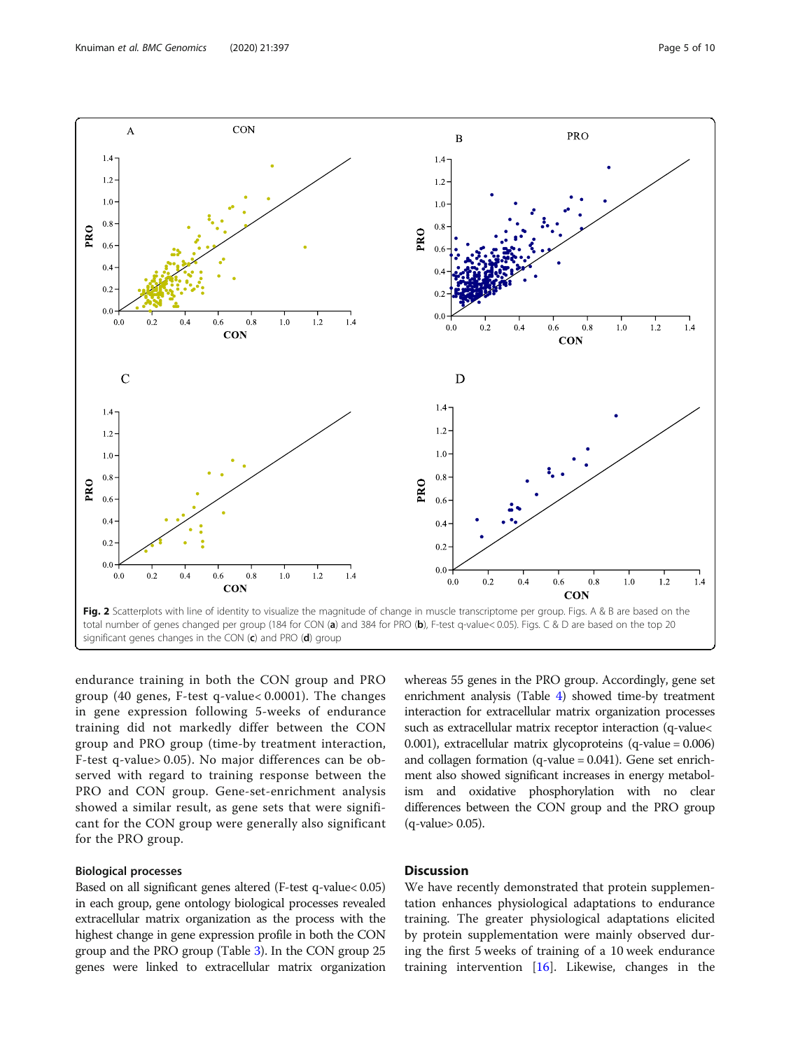

<span id="page-4-0"></span>

endurance training in both the CON group and PRO group (40 genes, F-test q-value< 0.0001). The changes in gene expression following 5-weeks of endurance training did not markedly differ between the CON group and PRO group (time-by treatment interaction, F-test q-value> 0.05). No major differences can be observed with regard to training response between the PRO and CON group. Gene-set-enrichment analysis showed a similar result, as gene sets that were significant for the CON group were generally also significant for the PRO group.

# Biological processes

Based on all significant genes altered (F-test q-value< 0.05) in each group, gene ontology biological processes revealed extracellular matrix organization as the process with the highest change in gene expression profile in both the CON group and the PRO group (Table [3](#page-3-0)). In the CON group 25 genes were linked to extracellular matrix organization whereas 55 genes in the PRO group. Accordingly, gene set enrichment analysis (Table [4](#page-6-0)) showed time-by treatment interaction for extracellular matrix organization processes such as extracellular matrix receptor interaction (q-value< 0.001), extracellular matrix glycoproteins (q-value = 0.006) and collagen formation (q-value = 0.041). Gene set enrichment also showed significant increases in energy metabolism and oxidative phosphorylation with no clear differences between the CON group and the PRO group (q-value> 0.05).

# **Discussion**

We have recently demonstrated that protein supplementation enhances physiological adaptations to endurance training. The greater physiological adaptations elicited by protein supplementation were mainly observed during the first 5 weeks of training of a 10 week endurance training intervention [\[16\]](#page-8-0). Likewise, changes in the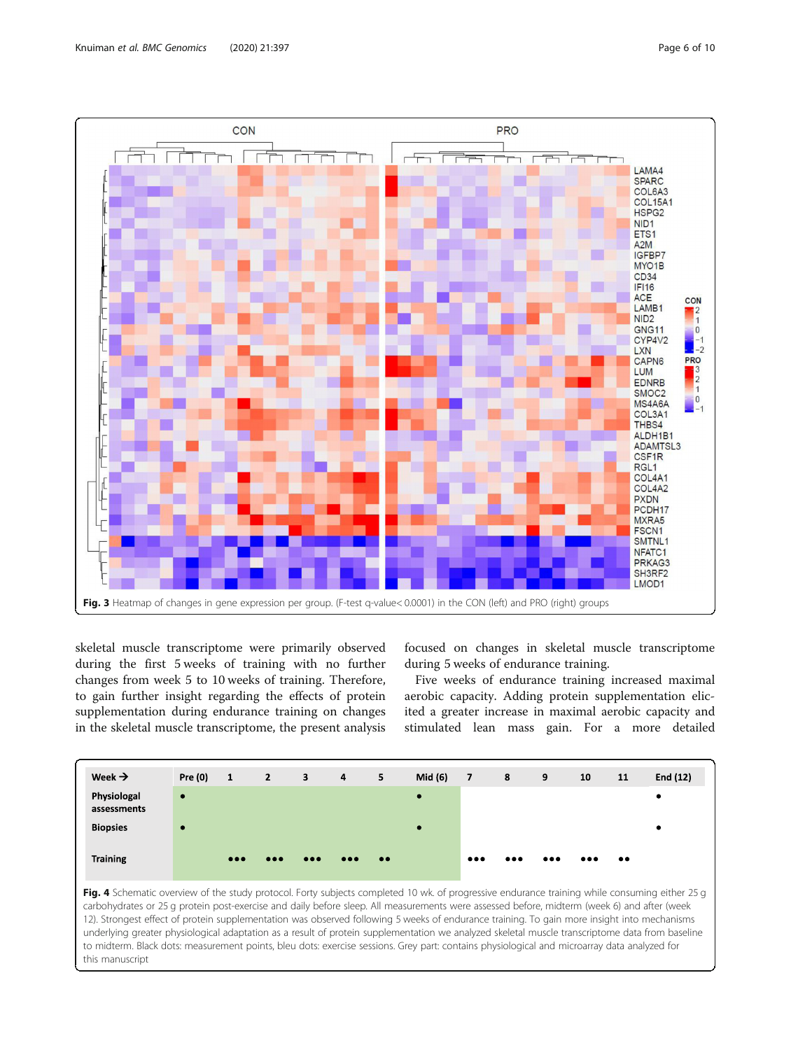<span id="page-5-0"></span>

skeletal muscle transcriptome were primarily observed during the first 5 weeks of training with no further changes from week 5 to 10 weeks of training. Therefore, to gain further insight regarding the effects of protein supplementation during endurance training on changes in the skeletal muscle transcriptome, the present analysis

focused on changes in skeletal muscle transcriptome during 5 weeks of endurance training.

Five weeks of endurance training increased maximal aerobic capacity. Adding protein supplementation elicited a greater increase in maximal aerobic capacity and stimulated lean mass gain. For a more detailed



Fig. 4 Schematic overview of the study protocol. Forty subjects completed 10 wk. of progressive endurance training while consuming either 25 g carbohydrates or 25 g protein post-exercise and daily before sleep. All measurements were assessed before, midterm (week 6) and after (week 12). Strongest effect of protein supplementation was observed following 5 weeks of endurance training. To gain more insight into mechanisms underlying greater physiological adaptation as a result of protein supplementation we analyzed skeletal muscle transcriptome data from baseline to midterm. Black dots: measurement points, bleu dots: exercise sessions. Grey part: contains physiological and microarray data analyzed for this manuscript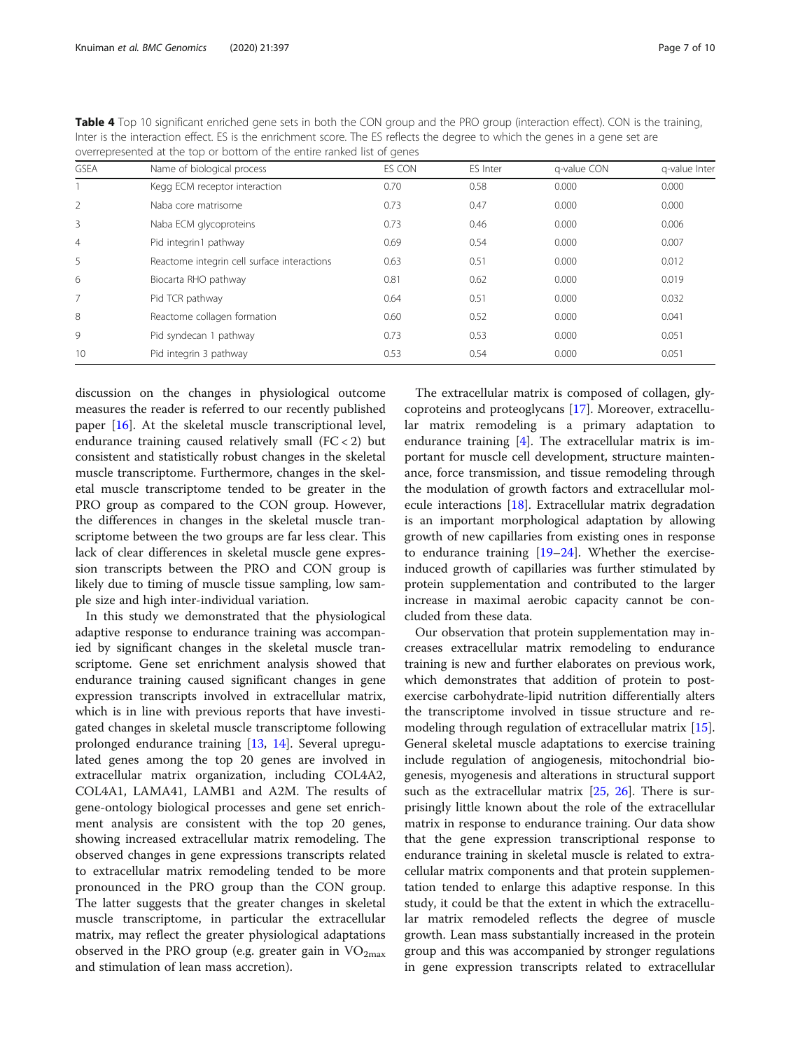| <b>GSEA</b>    | Name of biological process                  | ES CON | ES Inter | g-value CON | g-value Inter |
|----------------|---------------------------------------------|--------|----------|-------------|---------------|
|                | Kegg ECM receptor interaction               | 0.70   | 0.58     | 0.000       | 0.000         |
| 2              | Naba core matrisome                         | 0.73   | 0.47     | 0.000       | 0.000         |
| 3              | Naba ECM glycoproteins                      | 0.73   | 0.46     | 0.000       | 0.006         |
| $\overline{4}$ | Pid integrin1 pathway                       | 0.69   | 0.54     | 0.000       | 0.007         |
| 5              | Reactome integrin cell surface interactions | 0.63   | 0.51     | 0.000       | 0.012         |
| 6              | Biocarta RHO pathway                        | 0.81   | 0.62     | 0.000       | 0.019         |
| $\overline{7}$ | Pid TCR pathway                             | 0.64   | 0.51     | 0.000       | 0.032         |
| 8              | Reactome collagen formation                 | 0.60   | 0.52     | 0.000       | 0.041         |
| 9              | Pid syndecan 1 pathway                      | 0.73   | 0.53     | 0.000       | 0.051         |
| 10             | Pid integrin 3 pathway                      | 0.53   | 0.54     | 0.000       | 0.051         |

<span id="page-6-0"></span>Table 4 Top 10 significant enriched gene sets in both the CON group and the PRO group (interaction effect). CON is the training, Inter is the interaction effect. ES is the enrichment score. The ES reflects the degree to which the genes in a gene set are overrepresented at the top or bottom of the entire ranked list of genes

discussion on the changes in physiological outcome measures the reader is referred to our recently published paper [\[16](#page-8-0)]. At the skeletal muscle transcriptional level, endurance training caused relatively small (FC < 2) but consistent and statistically robust changes in the skeletal muscle transcriptome. Furthermore, changes in the skeletal muscle transcriptome tended to be greater in the PRO group as compared to the CON group. However, the differences in changes in the skeletal muscle transcriptome between the two groups are far less clear. This lack of clear differences in skeletal muscle gene expression transcripts between the PRO and CON group is likely due to timing of muscle tissue sampling, low sample size and high inter-individual variation.

In this study we demonstrated that the physiological adaptive response to endurance training was accompanied by significant changes in the skeletal muscle transcriptome. Gene set enrichment analysis showed that endurance training caused significant changes in gene expression transcripts involved in extracellular matrix, which is in line with previous reports that have investigated changes in skeletal muscle transcriptome following prolonged endurance training [\[13,](#page-8-0) [14](#page-8-0)]. Several upregulated genes among the top 20 genes are involved in extracellular matrix organization, including COL4A2, COL4A1, LAMA41, LAMB1 and A2M. The results of gene-ontology biological processes and gene set enrichment analysis are consistent with the top 20 genes, showing increased extracellular matrix remodeling. The observed changes in gene expressions transcripts related to extracellular matrix remodeling tended to be more pronounced in the PRO group than the CON group. The latter suggests that the greater changes in skeletal muscle transcriptome, in particular the extracellular matrix, may reflect the greater physiological adaptations observed in the PRO group (e.g. greater gain in  $VO_{2max}$ and stimulation of lean mass accretion).

The extracellular matrix is composed of collagen, glycoproteins and proteoglycans [[17](#page-8-0)]. Moreover, extracellular matrix remodeling is a primary adaptation to endurance training [[4](#page-8-0)]. The extracellular matrix is important for muscle cell development, structure maintenance, force transmission, and tissue remodeling through the modulation of growth factors and extracellular molecule interactions [[18\]](#page-8-0). Extracellular matrix degradation is an important morphological adaptation by allowing growth of new capillaries from existing ones in response to endurance training  $[19-24]$  $[19-24]$  $[19-24]$  $[19-24]$  $[19-24]$ . Whether the exerciseinduced growth of capillaries was further stimulated by protein supplementation and contributed to the larger increase in maximal aerobic capacity cannot be concluded from these data.

Our observation that protein supplementation may increases extracellular matrix remodeling to endurance training is new and further elaborates on previous work, which demonstrates that addition of protein to postexercise carbohydrate-lipid nutrition differentially alters the transcriptome involved in tissue structure and remodeling through regulation of extracellular matrix [\[15](#page-8-0)]. General skeletal muscle adaptations to exercise training include regulation of angiogenesis, mitochondrial biogenesis, myogenesis and alterations in structural support such as the extracellular matrix  $[25, 26]$  $[25, 26]$  $[25, 26]$  $[25, 26]$  $[25, 26]$ . There is surprisingly little known about the role of the extracellular matrix in response to endurance training. Our data show that the gene expression transcriptional response to endurance training in skeletal muscle is related to extracellular matrix components and that protein supplementation tended to enlarge this adaptive response. In this study, it could be that the extent in which the extracellular matrix remodeled reflects the degree of muscle growth. Lean mass substantially increased in the protein group and this was accompanied by stronger regulations in gene expression transcripts related to extracellular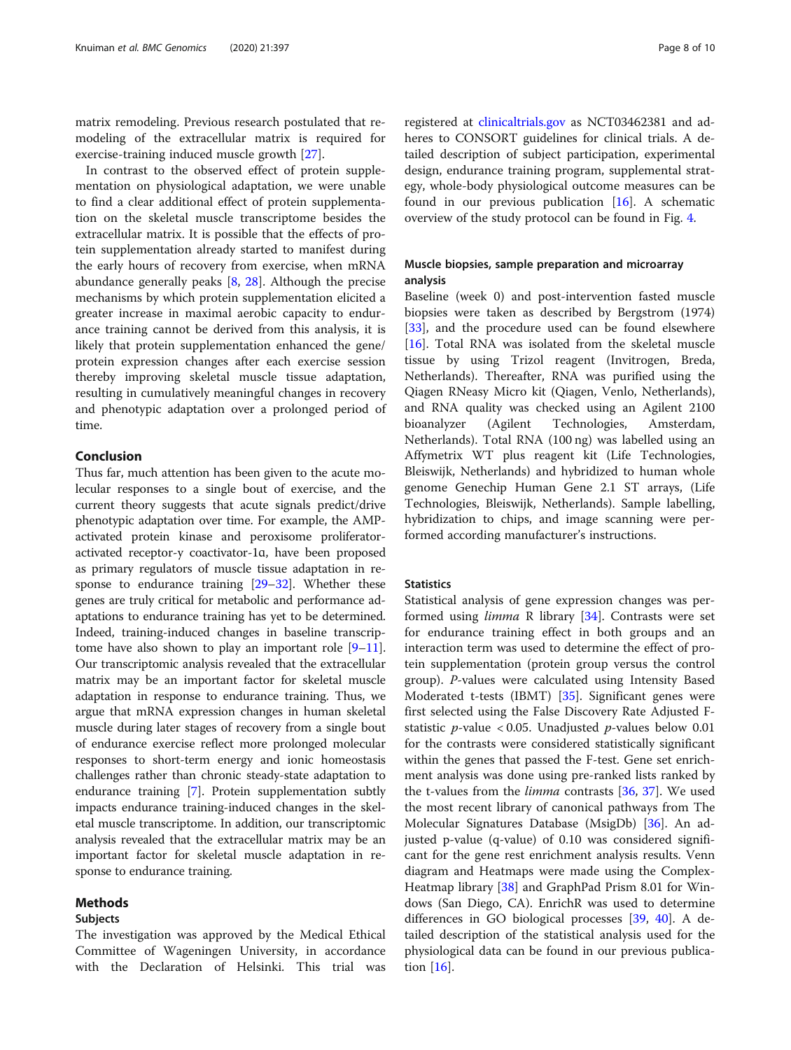matrix remodeling. Previous research postulated that remodeling of the extracellular matrix is required for exercise-training induced muscle growth [\[27](#page-8-0)].

In contrast to the observed effect of protein supplementation on physiological adaptation, we were unable to find a clear additional effect of protein supplementation on the skeletal muscle transcriptome besides the extracellular matrix. It is possible that the effects of protein supplementation already started to manifest during the early hours of recovery from exercise, when mRNA abundance generally peaks [\[8,](#page-8-0) [28\]](#page-9-0). Although the precise mechanisms by which protein supplementation elicited a greater increase in maximal aerobic capacity to endurance training cannot be derived from this analysis, it is likely that protein supplementation enhanced the gene/ protein expression changes after each exercise session thereby improving skeletal muscle tissue adaptation, resulting in cumulatively meaningful changes in recovery and phenotypic adaptation over a prolonged period of time.

# Conclusion

Thus far, much attention has been given to the acute molecular responses to a single bout of exercise, and the current theory suggests that acute signals predict/drive phenotypic adaptation over time. For example, the AMPactivated protein kinase and peroxisome proliferatoractivated receptor-y coactivator-1ɑ, have been proposed as primary regulators of muscle tissue adaptation in response to endurance training  $[29-32]$  $[29-32]$  $[29-32]$  $[29-32]$ . Whether these genes are truly critical for metabolic and performance adaptations to endurance training has yet to be determined. Indeed, training-induced changes in baseline transcriptome have also shown to play an important role  $[9-11]$  $[9-11]$  $[9-11]$  $[9-11]$ . Our transcriptomic analysis revealed that the extracellular matrix may be an important factor for skeletal muscle adaptation in response to endurance training. Thus, we argue that mRNA expression changes in human skeletal muscle during later stages of recovery from a single bout of endurance exercise reflect more prolonged molecular responses to short-term energy and ionic homeostasis challenges rather than chronic steady-state adaptation to endurance training [[7\]](#page-8-0). Protein supplementation subtly impacts endurance training-induced changes in the skeletal muscle transcriptome. In addition, our transcriptomic analysis revealed that the extracellular matrix may be an important factor for skeletal muscle adaptation in response to endurance training.

# Methods

#### Subjects

The investigation was approved by the Medical Ethical Committee of Wageningen University, in accordance with the Declaration of Helsinki. This trial was

registered at [clinicaltrials.gov](http://clinicaltrials.gov) as NCT03462381 and adheres to CONSORT guidelines for clinical trials. A detailed description of subject participation, experimental design, endurance training program, supplemental strategy, whole-body physiological outcome measures can be found in our previous publication [\[16\]](#page-8-0). A schematic overview of the study protocol can be found in Fig. [4](#page-5-0).

# Muscle biopsies, sample preparation and microarray analysis

Baseline (week 0) and post-intervention fasted muscle biopsies were taken as described by Bergstrom (1974) [[33\]](#page-9-0), and the procedure used can be found elsewhere [[16\]](#page-8-0). Total RNA was isolated from the skeletal muscle tissue by using Trizol reagent (Invitrogen, Breda, Netherlands). Thereafter, RNA was purified using the Qiagen RNeasy Micro kit (Qiagen, Venlo, Netherlands), and RNA quality was checked using an Agilent 2100 bioanalyzer (Agilent Technologies, Amsterdam, Netherlands). Total RNA (100 ng) was labelled using an Affymetrix WT plus reagent kit (Life Technologies, Bleiswijk, Netherlands) and hybridized to human whole genome Genechip Human Gene 2.1 ST arrays, (Life Technologies, Bleiswijk, Netherlands). Sample labelling, hybridization to chips, and image scanning were performed according manufacturer's instructions.

## **Statistics**

Statistical analysis of gene expression changes was performed using limma R library [\[34](#page-9-0)]. Contrasts were set for endurance training effect in both groups and an interaction term was used to determine the effect of protein supplementation (protein group versus the control group). P-values were calculated using Intensity Based Moderated t-tests (IBMT) [[35](#page-9-0)]. Significant genes were first selected using the False Discovery Rate Adjusted Fstatistic *p*-value < 0.05. Unadjusted *p*-values below 0.01 for the contrasts were considered statistically significant within the genes that passed the F-test. Gene set enrichment analysis was done using pre-ranked lists ranked by the t-values from the *limma* contrasts [[36](#page-9-0), [37\]](#page-9-0). We used the most recent library of canonical pathways from The Molecular Signatures Database (MsigDb) [[36\]](#page-9-0). An adjusted p-value (q-value) of 0.10 was considered significant for the gene rest enrichment analysis results. Venn diagram and Heatmaps were made using the Complex-Heatmap library [[38](#page-9-0)] and GraphPad Prism 8.01 for Windows (San Diego, CA). EnrichR was used to determine differences in GO biological processes [[39,](#page-9-0) [40](#page-9-0)]. A detailed description of the statistical analysis used for the physiological data can be found in our previous publication [\[16\]](#page-8-0).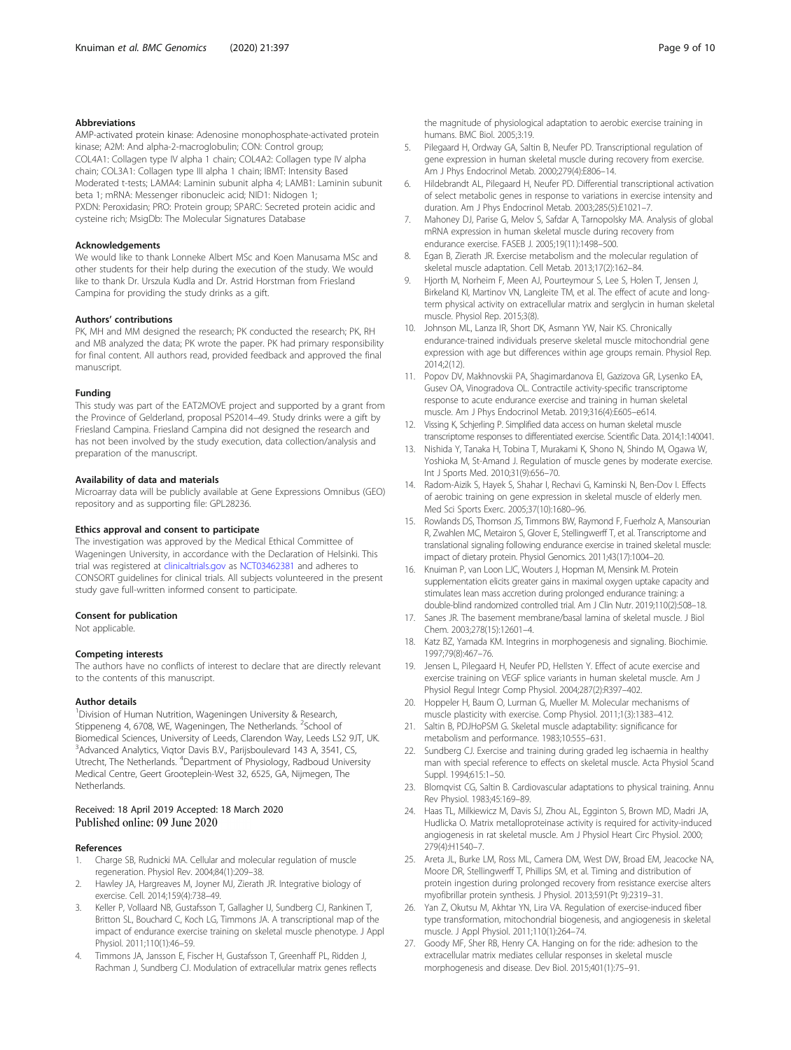#### <span id="page-8-0"></span>Abbreviations

AMP-activated protein kinase: Adenosine monophosphate-activated protein kinase; A2M: And alpha-2-macroglobulin; CON: Control group; COL4A1: Collagen type IV alpha 1 chain; COL4A2: Collagen type IV alpha chain; COL3A1: Collagen type III alpha 1 chain; IBMT: Intensity Based Moderated t-tests; LAMA4: Laminin subunit alpha 4; LAMB1: Laminin subunit beta 1; mRNA: Messenger ribonucleic acid; NID1: Nidogen 1; PXDN: Peroxidasin; PRO: Protein group; SPARC: Secreted protein acidic and cysteine rich; MsigDb: The Molecular Signatures Database

#### Acknowledgements

We would like to thank Lonneke Albert MSc and Koen Manusama MSc and other students for their help during the execution of the study. We would like to thank Dr. Urszula Kudla and Dr. Astrid Horstman from Friesland Campina for providing the study drinks as a gift.

#### Authors' contributions

PK, MH and MM designed the research; PK conducted the research; PK, RH and MB analyzed the data; PK wrote the paper. PK had primary responsibility for final content. All authors read, provided feedback and approved the final manuscript.

#### Funding

This study was part of the EAT2MOVE project and supported by a grant from the Province of Gelderland, proposal PS2014–49. Study drinks were a gift by Friesland Campina. Friesland Campina did not designed the research and has not been involved by the study execution, data collection/analysis and preparation of the manuscript.

#### Availability of data and materials

Microarray data will be publicly available at Gene Expressions Omnibus (GEO) repository and as supporting file: GPL28236.

## Ethics approval and consent to participate

The investigation was approved by the Medical Ethical Committee of Wageningen University, in accordance with the Declaration of Helsinki. This trial was registered at [clinicaltrials.gov](http://clinicaltrials.gov) as [NCT03462381](https://clinicaltrials.gov/ct2/show/NCT03462381?cond=endurance+training+and+protein+supplementation&draw=2&rank=1) and adheres to CONSORT guidelines for clinical trials. All subjects volunteered in the present study gave full-written informed consent to participate.

#### Consent for publication

Not applicable.

#### Competing interests

The authors have no conflicts of interest to declare that are directly relevant to the contents of this manuscript.

#### Author details

<sup>1</sup> Division of Human Nutrition, Wageningen University & Research, Stippeneng 4, 6708, WE, Wageningen, The Netherlands. <sup>2</sup>School of Biomedical Sciences, University of Leeds, Clarendon Way, Leeds LS2 9JT, UK. <sup>3</sup> Advanced Analytics, Viqtor Davis B.V., Parijsboulevard 143 A, 3541, CS, Utrecht, The Netherlands. <sup>4</sup>Department of Physiology, Radboud University Medical Centre, Geert Grooteplein-West 32, 6525, GA, Nijmegen, The Netherlands.

# Received: 18 April 2019 Accepted: 18 March 2020 Published online: 09 June 2020

### References

- 1. Charge SB, Rudnicki MA. Cellular and molecular regulation of muscle regeneration. Physiol Rev. 2004;84(1):209–38.
- 2. Hawley JA, Hargreaves M, Joyner MJ, Zierath JR. Integrative biology of exercise. Cell. 2014;159(4):738–49.
- 3. Keller P, Vollaard NB, Gustafsson T, Gallagher IJ, Sundberg CJ, Rankinen T, Britton SL, Bouchard C, Koch LG, Timmons JA. A transcriptional map of the impact of endurance exercise training on skeletal muscle phenotype. J Appl Physiol. 2011;110(1):46–59.
- Timmons JA, Jansson E, Fischer H, Gustafsson T, Greenhaff PL, Ridden J, Rachman J, Sundberg CJ. Modulation of extracellular matrix genes reflects

the magnitude of physiological adaptation to aerobic exercise training in humans. BMC Biol. 2005;3:19.

- 5. Pilegaard H, Ordway GA, Saltin B, Neufer PD. Transcriptional regulation of gene expression in human skeletal muscle during recovery from exercise. Am J Phys Endocrinol Metab. 2000;279(4):E806–14.
- 6. Hildebrandt AL, Pilegaard H, Neufer PD. Differential transcriptional activation of select metabolic genes in response to variations in exercise intensity and duration. Am J Phys Endocrinol Metab. 2003;285(5):E1021–7.
- 7. Mahoney DJ, Parise G, Melov S, Safdar A, Tarnopolsky MA. Analysis of global mRNA expression in human skeletal muscle during recovery from endurance exercise. FASEB J. 2005;19(11):1498–500.
- 8. Egan B, Zierath JR. Exercise metabolism and the molecular regulation of skeletal muscle adaptation. Cell Metab. 2013;17(2):162–84.
- 9. Hjorth M, Norheim F, Meen AJ, Pourteymour S, Lee S, Holen T, Jensen J, Birkeland KI, Martinov VN, Langleite TM, et al. The effect of acute and longterm physical activity on extracellular matrix and serglycin in human skeletal muscle. Physiol Rep. 2015;3(8).
- 10. Johnson ML, Lanza IR, Short DK, Asmann YW, Nair KS. Chronically endurance-trained individuals preserve skeletal muscle mitochondrial gene expression with age but differences within age groups remain. Physiol Rep. 2014;2(12).
- 11. Popov DV, Makhnovskii PA, Shagimardanova EI, Gazizova GR, Lysenko EA, Gusev OA, Vinogradova OL. Contractile activity-specific transcriptome response to acute endurance exercise and training in human skeletal muscle. Am J Phys Endocrinol Metab. 2019;316(4):E605–e614.
- 12. Vissing K, Schjerling P. Simplified data access on human skeletal muscle transcriptome responses to differentiated exercise. Scientific Data. 2014;1:140041.
- 13. Nishida Y, Tanaka H, Tobina T, Murakami K, Shono N, Shindo M, Ogawa W, Yoshioka M, St-Amand J. Regulation of muscle genes by moderate exercise. Int J Sports Med. 2010;31(9):656–70.
- 14. Radom-Aizik S, Hayek S, Shahar I, Rechavi G, Kaminski N, Ben-Dov I. Effects of aerobic training on gene expression in skeletal muscle of elderly men. Med Sci Sports Exerc. 2005;37(10):1680–96.
- 15. Rowlands DS, Thomson JS, Timmons BW, Raymond F, Fuerholz A, Mansourian R, Zwahlen MC, Metairon S, Glover E, Stellingwerff T, et al. Transcriptome and translational signaling following endurance exercise in trained skeletal muscle: impact of dietary protein. Physiol Genomics. 2011;43(17):1004–20.
- 16. Knuiman P, van Loon LJC, Wouters J, Hopman M, Mensink M. Protein supplementation elicits greater gains in maximal oxygen uptake capacity and stimulates lean mass accretion during prolonged endurance training: a double-blind randomized controlled trial. Am J Clin Nutr. 2019;110(2):508–18.
- 17. Sanes JR. The basement membrane/basal lamina of skeletal muscle. J Biol Chem. 2003;278(15):12601–4.
- 18. Katz BZ, Yamada KM. Integrins in morphogenesis and signaling. Biochimie. 1997;79(8):467–76.
- 19. Jensen L, Pilegaard H, Neufer PD, Hellsten Y. Effect of acute exercise and exercise training on VEGF splice variants in human skeletal muscle. Am J Physiol Regul Integr Comp Physiol. 2004;287(2):R397–402.
- 20. Hoppeler H, Baum O, Lurman G, Mueller M. Molecular mechanisms of muscle plasticity with exercise. Comp Physiol. 2011;1(3):1383–412.
- 21. Saltin B, PDJHoPSM G. Skeletal muscle adaptability: significance for metabolism and performance. 1983;10:555–631.
- 22. Sundberg CJ. Exercise and training during graded leg ischaemia in healthy man with special reference to effects on skeletal muscle. Acta Physiol Scand Suppl. 1994;615:1–50.
- 23. Blomqvist CG, Saltin B. Cardiovascular adaptations to physical training. Annu Rev Physiol. 1983;45:169–89.
- 24. Haas TL, Milkiewicz M, Davis SJ, Zhou AL, Egginton S, Brown MD, Madri JA, Hudlicka O. Matrix metalloproteinase activity is required for activity-induced angiogenesis in rat skeletal muscle. Am J Physiol Heart Circ Physiol. 2000; 279(4):H1540–7.
- 25. Areta JL, Burke LM, Ross ML, Camera DM, West DW, Broad EM, Jeacocke NA, Moore DR, Stellingwerff T, Phillips SM, et al. Timing and distribution of protein ingestion during prolonged recovery from resistance exercise alters myofibrillar protein synthesis. J Physiol. 2013;591(Pt 9):2319–31.
- 26. Yan Z, Okutsu M, Akhtar YN, Lira VA. Regulation of exercise-induced fiber type transformation, mitochondrial biogenesis, and angiogenesis in skeletal muscle. J Appl Physiol. 2011;110(1):264–74.
- 27. Goody MF, Sher RB, Henry CA. Hanging on for the ride: adhesion to the extracellular matrix mediates cellular responses in skeletal muscle morphogenesis and disease. Dev Biol. 2015;401(1):75–91.